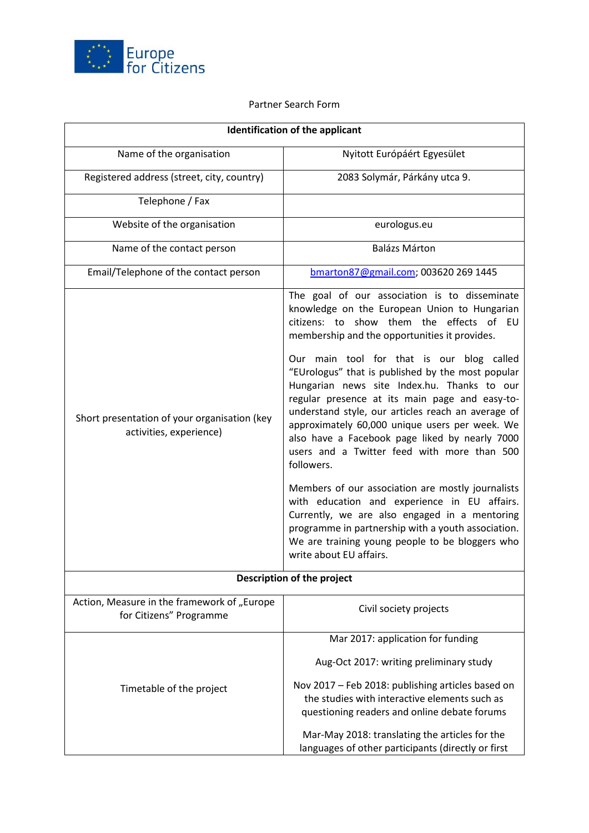

## Partner Search Form

| <b>Identification of the applicant</b>                                  |                                                                                                                                                                                                                                                                                                                                                                                                                                                                                                                                                                                                                                                                                                                                                                                                                                                                                                                |
|-------------------------------------------------------------------------|----------------------------------------------------------------------------------------------------------------------------------------------------------------------------------------------------------------------------------------------------------------------------------------------------------------------------------------------------------------------------------------------------------------------------------------------------------------------------------------------------------------------------------------------------------------------------------------------------------------------------------------------------------------------------------------------------------------------------------------------------------------------------------------------------------------------------------------------------------------------------------------------------------------|
| Name of the organisation                                                | Nyitott Európáért Egyesület                                                                                                                                                                                                                                                                                                                                                                                                                                                                                                                                                                                                                                                                                                                                                                                                                                                                                    |
| Registered address (street, city, country)                              | 2083 Solymár, Párkány utca 9.                                                                                                                                                                                                                                                                                                                                                                                                                                                                                                                                                                                                                                                                                                                                                                                                                                                                                  |
| Telephone / Fax                                                         |                                                                                                                                                                                                                                                                                                                                                                                                                                                                                                                                                                                                                                                                                                                                                                                                                                                                                                                |
| Website of the organisation                                             | eurologus.eu                                                                                                                                                                                                                                                                                                                                                                                                                                                                                                                                                                                                                                                                                                                                                                                                                                                                                                   |
| Name of the contact person                                              | <b>Balázs Márton</b>                                                                                                                                                                                                                                                                                                                                                                                                                                                                                                                                                                                                                                                                                                                                                                                                                                                                                           |
| Email/Telephone of the contact person                                   | bmarton87@gmail.com; 003620 269 1445                                                                                                                                                                                                                                                                                                                                                                                                                                                                                                                                                                                                                                                                                                                                                                                                                                                                           |
| Short presentation of your organisation (key<br>activities, experience) | The goal of our association is to disseminate<br>knowledge on the European Union to Hungarian<br>citizens: to show them the effects of EU<br>membership and the opportunities it provides.<br>Our main tool for that is our blog called<br>"EUrologus" that is published by the most popular<br>Hungarian news site Index.hu. Thanks to our<br>regular presence at its main page and easy-to-<br>understand style, our articles reach an average of<br>approximately 60,000 unique users per week. We<br>also have a Facebook page liked by nearly 7000<br>users and a Twitter feed with more than 500<br>followers.<br>Members of our association are mostly journalists<br>with education and experience in EU affairs.<br>Currently, we are also engaged in a mentoring<br>programme in partnership with a youth association.<br>We are training young people to be bloggers who<br>write about EU affairs. |
| Description of the project                                              |                                                                                                                                                                                                                                                                                                                                                                                                                                                                                                                                                                                                                                                                                                                                                                                                                                                                                                                |
| Action, Measure in the framework of "Europe<br>for Citizens" Programme  | Civil society projects                                                                                                                                                                                                                                                                                                                                                                                                                                                                                                                                                                                                                                                                                                                                                                                                                                                                                         |
| Timetable of the project                                                | Mar 2017: application for funding                                                                                                                                                                                                                                                                                                                                                                                                                                                                                                                                                                                                                                                                                                                                                                                                                                                                              |
|                                                                         | Aug-Oct 2017: writing preliminary study                                                                                                                                                                                                                                                                                                                                                                                                                                                                                                                                                                                                                                                                                                                                                                                                                                                                        |
|                                                                         | Nov 2017 - Feb 2018: publishing articles based on<br>the studies with interactive elements such as<br>questioning readers and online debate forums                                                                                                                                                                                                                                                                                                                                                                                                                                                                                                                                                                                                                                                                                                                                                             |
|                                                                         | Mar-May 2018: translating the articles for the<br>languages of other participants (directly or first                                                                                                                                                                                                                                                                                                                                                                                                                                                                                                                                                                                                                                                                                                                                                                                                           |